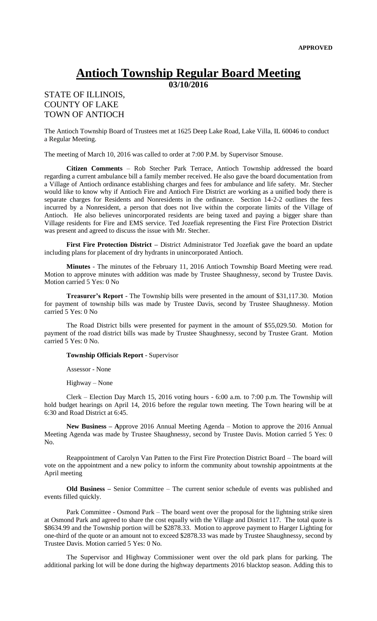## **Antioch Township Regular Board Meeting**

**03/10/2016**

## STATE OF ILLINOIS, COUNTY OF LAKE TOWN OF ANTIOCH

The Antioch Township Board of Trustees met at 1625 Deep Lake Road, Lake Villa, IL 60046 to conduct a Regular Meeting.

The meeting of March 10, 2016 was called to order at 7:00 P.M. by Supervisor Smouse.

**Citizen Comments** – Rob Stecher Park Terrace, Antioch Township addressed the board regarding a current ambulance bill a family member received. He also gave the board documentation from a Village of Antioch ordinance establishing charges and fees for ambulance and life safety. Mr. Stecher would like to know why if Antioch Fire and Antioch Fire District are working as a unified body there is separate charges for Residents and Nonresidents in the ordinance. Section 14-2-2 outlines the fees incurred by a Nonresident, a person that does not live within the corporate limits of the Village of Antioch. He also believes unincorporated residents are being taxed and paying a bigger share than Village residents for Fire and EMS service. Ted Jozefiak representing the First Fire Protection District was present and agreed to discuss the issue with Mr. Stecher.

**First Fire Protection District –** District Administrator Ted Jozefiak gave the board an update including plans for placement of dry hydrants in unincorporated Antioch.

**Minutes** - The minutes of the February 11, 2016 Antioch Township Board Meeting were read. Motion to approve minutes with addition was made by Trustee Shaughnessy, second by Trustee Davis. Motion carried 5 Yes: 0 No

**Treasurer's Report** - The Township bills were presented in the amount of \$31,117.30. Motion for payment of township bills was made by Trustee Davis, second by Trustee Shaughnessy. Motion carried 5 Yes: 0 No

The Road District bills were presented for payment in the amount of \$55,029.50. Motion for payment of the road district bills was made by Trustee Shaughnessy, second by Trustee Grant. Motion carried 5 Yes: 0 No.

**Township Officials Report** - Supervisor

Assessor - None

Highway – None

Clerk – Election Day March 15, 2016 voting hours - 6:00 a.m. to 7:00 p.m. The Township will hold budget hearings on April 14, 2016 before the regular town meeting. The Town hearing will be at 6:30 and Road District at 6:45.

**New Business – A**pprove 2016 Annual Meeting Agenda – Motion to approve the 2016 Annual Meeting Agenda was made by Trustee Shaughnessy, second by Trustee Davis. Motion carried 5 Yes: 0 No.

Reappointment of Carolyn Van Patten to the First Fire Protection District Board – The board will vote on the appointment and a new policy to inform the community about township appointments at the April meeting

**Old Business –** Senior Committee – The current senior schedule of events was published and events filled quickly.

Park Committee - Osmond Park – The board went over the proposal for the lightning strike siren at Osmond Park and agreed to share the cost equally with the Village and District 117. The total quote is \$8634.99 and the Township portion will be \$2878.33. Motion to approve payment to Harger Lighting for one-third of the quote or an amount not to exceed \$2878.33 was made by Trustee Shaughnessy, second by Trustee Davis. Motion carried 5 Yes: 0 No.

The Supervisor and Highway Commissioner went over the old park plans for parking. The additional parking lot will be done during the highway departments 2016 blacktop season. Adding this to